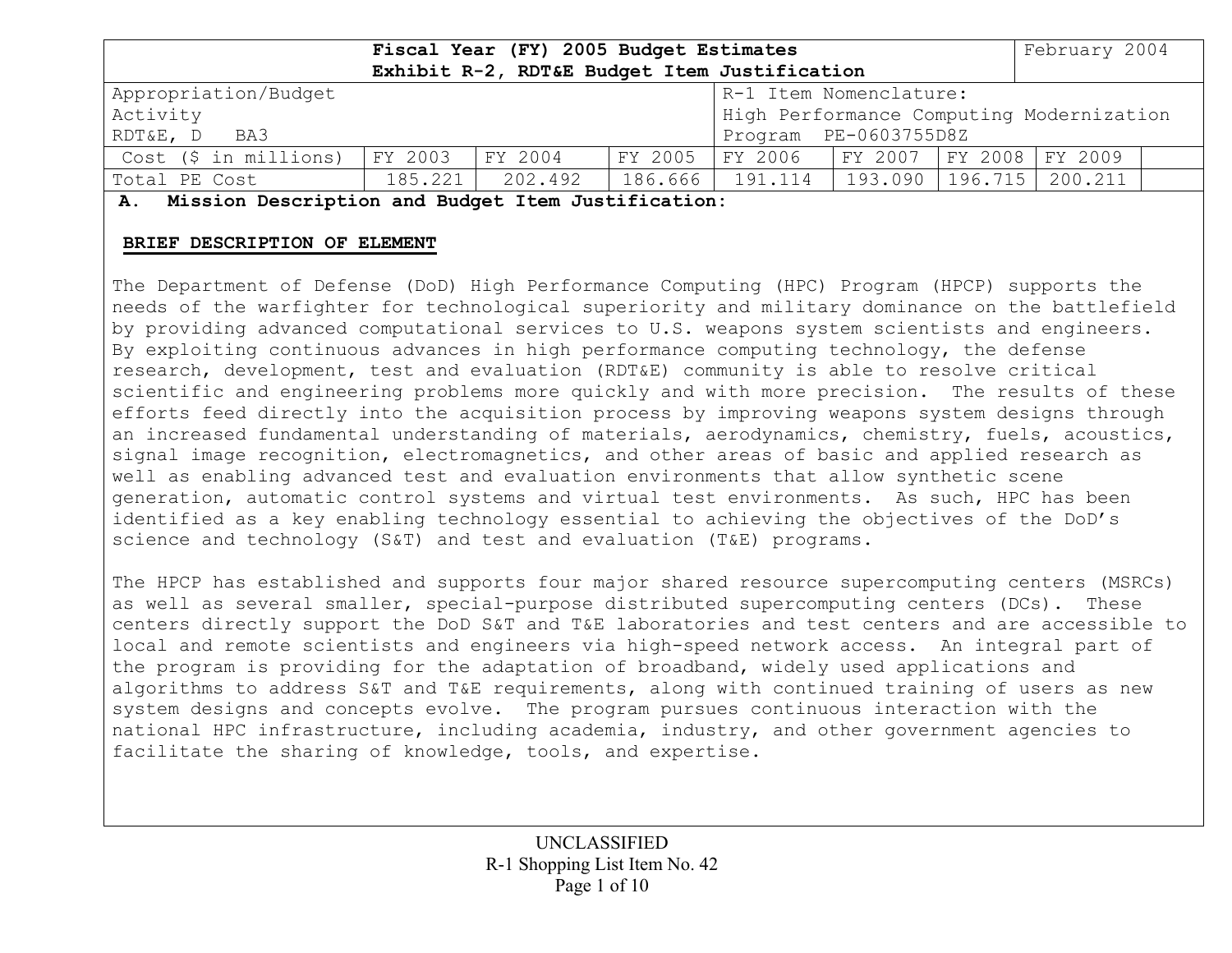|                                                | Fiscal Year (FY) 2005 Budget Estimates |         |         |                                             |         |         | February 2004 |  |
|------------------------------------------------|----------------------------------------|---------|---------|---------------------------------------------|---------|---------|---------------|--|
| Exhibit R-2, RDT&E Budget Item Justification   |                                        |         |         |                                             |         |         |               |  |
| Appropriation/Budget<br>R-1 Item Nomenclature: |                                        |         |         |                                             |         |         |               |  |
| Activity                                       |                                        |         |         | High Performance Computing Modernization    |         |         |               |  |
| Program PE-0603755D8Z<br>RDT&E, D<br>BA3       |                                        |         |         |                                             |         |         |               |  |
| Cost (\$ in millions)                          | FY 2003                                | FY 2004 | FY 2005 | FY 2006       FY 2007     FY 2008   FY 2009 |         |         |               |  |
| Total PE Cost                                  | 185.221                                | 202.492 | 186.666 | , 191.114                                   | 193.090 | 196.715 | 200.211       |  |

**A. Mission Description and Budget Item Justification:** 

#### **BRIEF DESCRIPTION OF ELEMENT**

The Department of Defense (DoD) High Performance Computing (HPC) Program (HPCP) supports the needs of the warfighter for technological superiority and military dominance on the battlefield by providing advanced computational services to U.S. weapons system scientists and engineers. By exploiting continuous advances in high performance computing technology, the defense research, development, test and evaluation (RDT&E) community is able to resolve critical scientific and engineering problems more quickly and with more precision. The results of these efforts feed directly into the acquisition process by improving weapons system designs through an increased fundamental understanding of materials, aerodynamics, chemistry, fuels, acoustics, signal image recognition, electromagnetics, and other areas of basic and applied research as well as enabling advanced test and evaluation environments that allow synthetic scene generation, automatic control systems and virtual test environments. As such, HPC has been identified as a key enabling technology essential to achieving the objectives of the DoD's science and technology (S&T) and test and evaluation (T&E) programs.

The HPCP has established and supports four major shared resource supercomputing centers (MSRCs) as well as several smaller, special-purpose distributed supercomputing centers (DCs). These centers directly support the DoD S&T and T&E laboratories and test centers and are accessible to local and remote scientists and engineers via high-speed network access. An integral part of the program is providing for the adaptation of broadband, widely used applications and algorithms to address S&T and T&E requirements, along with continued training of users as new system designs and concepts evolve. The program pursues continuous interaction with the national HPC infrastructure, including academia, industry, and other government agencies to facilitate the sharing of knowledge, tools, and expertise.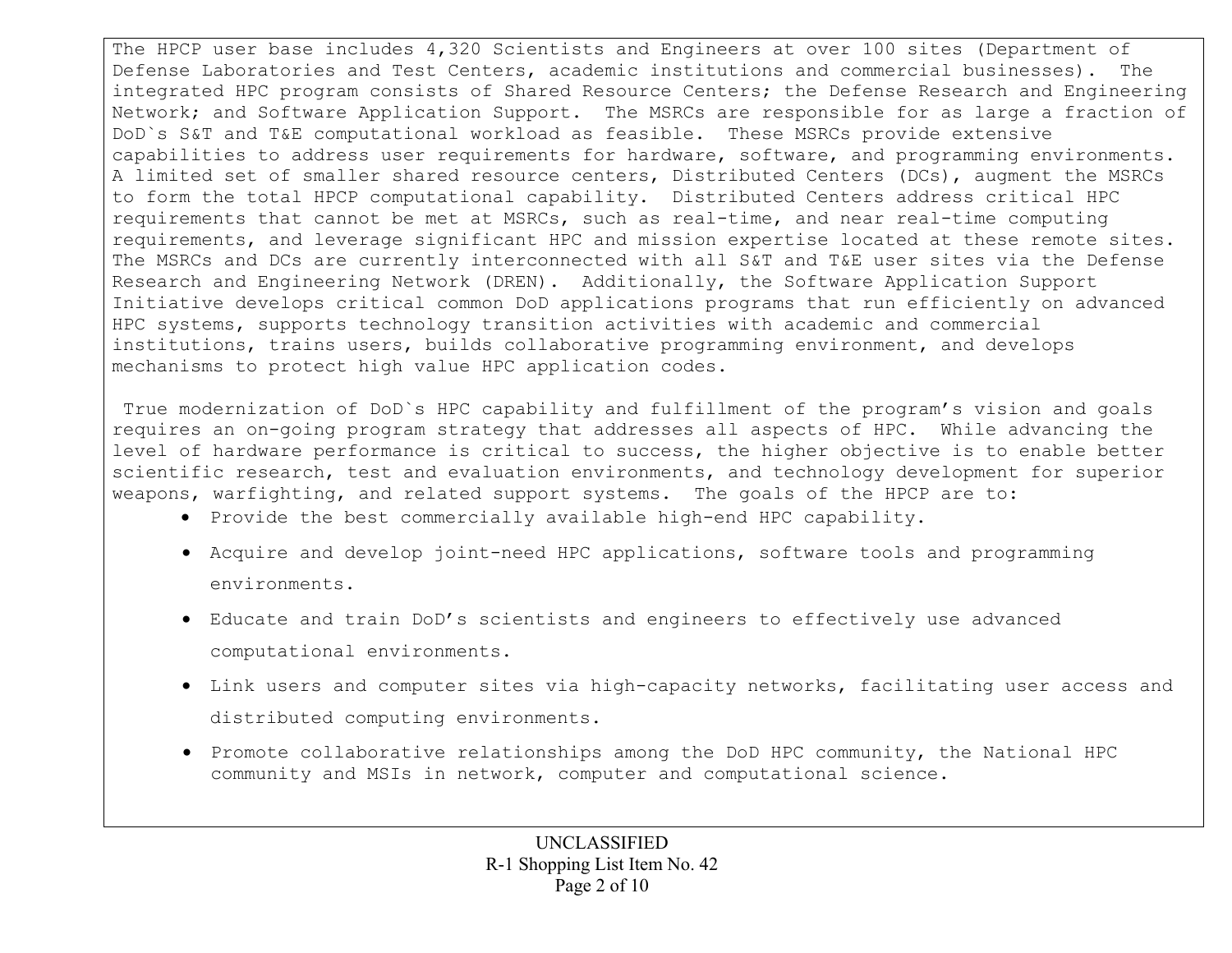The HPCP user base includes 4,320 Scientists and Engineers at over 100 sites (Department of Defense Laboratories and Test Centers, academic institutions and commercial businesses). The integrated HPC program consists of Shared Resource Centers; the Defense Research and Engineering Network; and Software Application Support. The MSRCs are responsible for as large a fraction of DoD`s S&T and T&E computational workload as feasible. These MSRCs provide extensive capabilities to address user requirements for hardware, software, and programming environments. A limited set of smaller shared resource centers, Distributed Centers (DCs), augment the MSRCs to form the total HPCP computational capability. Distributed Centers address critical HPC requirements that cannot be met at MSRCs, such as real-time, and near real-time computing requirements, and leverage significant HPC and mission expertise located at these remote sites. The MSRCs and DCs are currently interconnected with all S&T and T&E user sites via the Defense Research and Engineering Network (DREN). Additionally, the Software Application Support Initiative develops critical common DoD applications programs that run efficiently on advanced HPC systems, supports technology transition activities with academic and commercial institutions, trains users, builds collaborative programming environment, and develops mechanisms to protect high value HPC application codes.

 True modernization of DoD`s HPC capability and fulfillment of the program's vision and goals requires an on-going program strategy that addresses all aspects of HPC. While advancing the level of hardware performance is critical to success, the higher objective is to enable better scientific research, test and evaluation environments, and technology development for superior weapons, warfighting, and related support systems. The goals of the HPCP are to:

- Provide the best commercially available high-end HPC capability.
- Acquire and develop joint-need HPC applications, software tools and programming environments.
- Educate and train DoD's scientists and engineers to effectively use advanced computational environments.
- Link users and computer sites via high-capacity networks, facilitating user access and distributed computing environments.
- Promote collaborative relationships among the DoD HPC community, the National HPC community and MSIs in network, computer and computational science.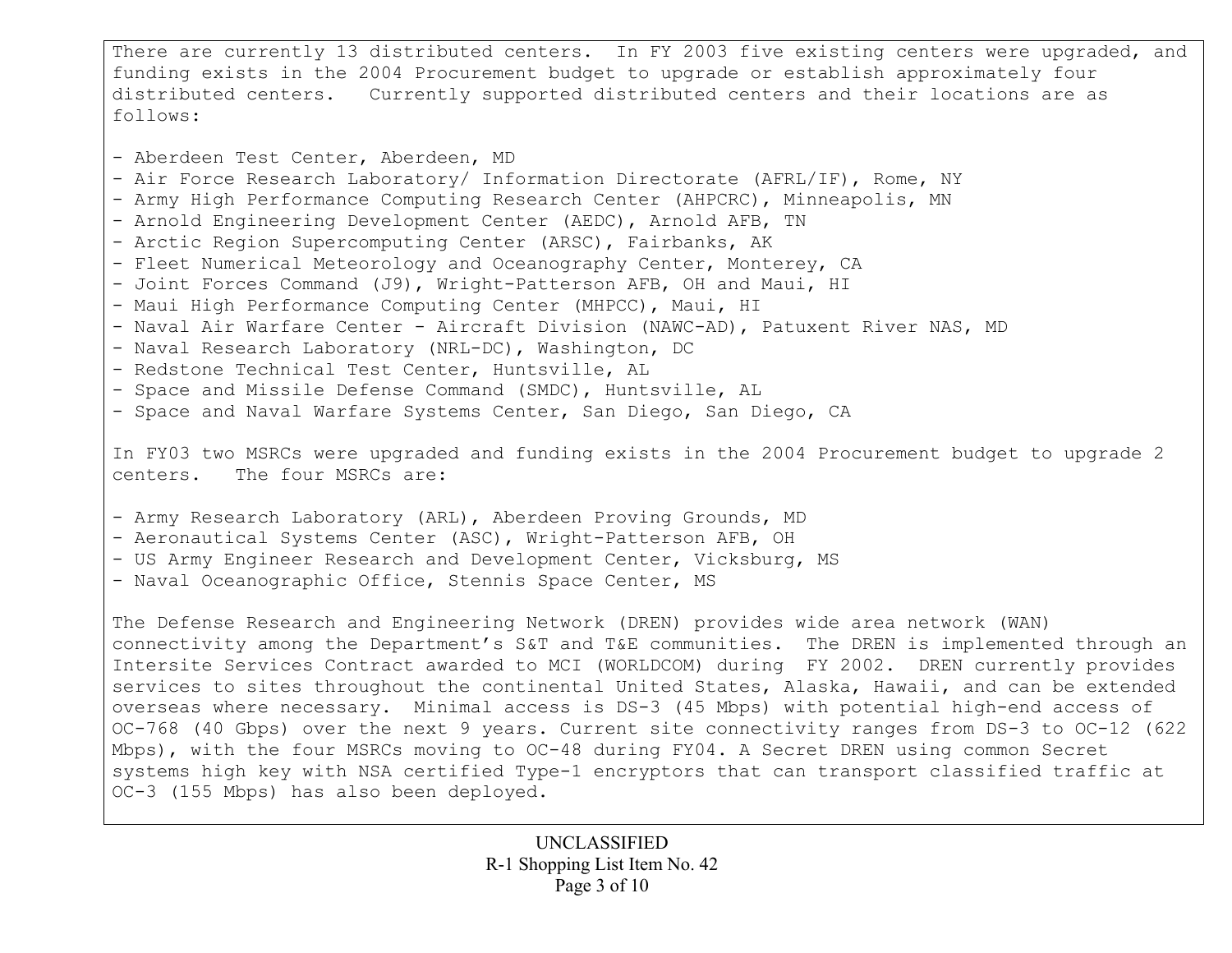There are currently 13 distributed centers. In FY 2003 five existing centers were upgraded, and funding exists in the 2004 Procurement budget to upgrade or establish approximately four distributed centers. Currently supported distributed centers and their locations are as follows:

- Aberdeen Test Center, Aberdeen, MD - Air Force Research Laboratory/ Information Directorate (AFRL/IF), Rome, NY - Army High Performance Computing Research Center (AHPCRC), Minneapolis, MN - Arnold Engineering Development Center (AEDC), Arnold AFB, TN - Arctic Region Supercomputing Center (ARSC), Fairbanks, AK - Fleet Numerical Meteorology and Oceanography Center, Monterey, CA - Joint Forces Command (J9), Wright-Patterson AFB, OH and Maui, HI - Maui High Performance Computing Center (MHPCC), Maui, HI - Naval Air Warfare Center - Aircraft Division (NAWC-AD), Patuxent River NAS, MD - Naval Research Laboratory (NRL-DC), Washington, DC - Redstone Technical Test Center, Huntsville, AL - Space and Missile Defense Command (SMDC), Huntsville, AL - Space and Naval Warfare Systems Center, San Diego, San Diego, CA

In FY03 two MSRCs were upgraded and funding exists in the 2004 Procurement budget to upgrade 2 centers. The four MSRCs are:

- Army Research Laboratory (ARL), Aberdeen Proving Grounds, MD

- Aeronautical Systems Center (ASC), Wright-Patterson AFB, OH
- US Army Engineer Research and Development Center, Vicksburg, MS
- Naval Oceanographic Office, Stennis Space Center, MS

The Defense Research and Engineering Network (DREN) provides wide area network (WAN) connectivity among the Department's S&T and T&E communities. The DREN is implemented through an Intersite Services Contract awarded to MCI (WORLDCOM) during FY 2002. DREN currently provides services to sites throughout the continental United States, Alaska, Hawaii, and can be extended overseas where necessary. Minimal access is DS-3 (45 Mbps) with potential high-end access of OC-768 (40 Gbps) over the next 9 years. Current site connectivity ranges from DS-3 to OC-12 (622 Mbps), with the four MSRCs moving to OC-48 during FY04. A Secret DREN using common Secret systems high key with NSA certified Type-1 encryptors that can transport classified traffic at OC-3 (155 Mbps) has also been deployed.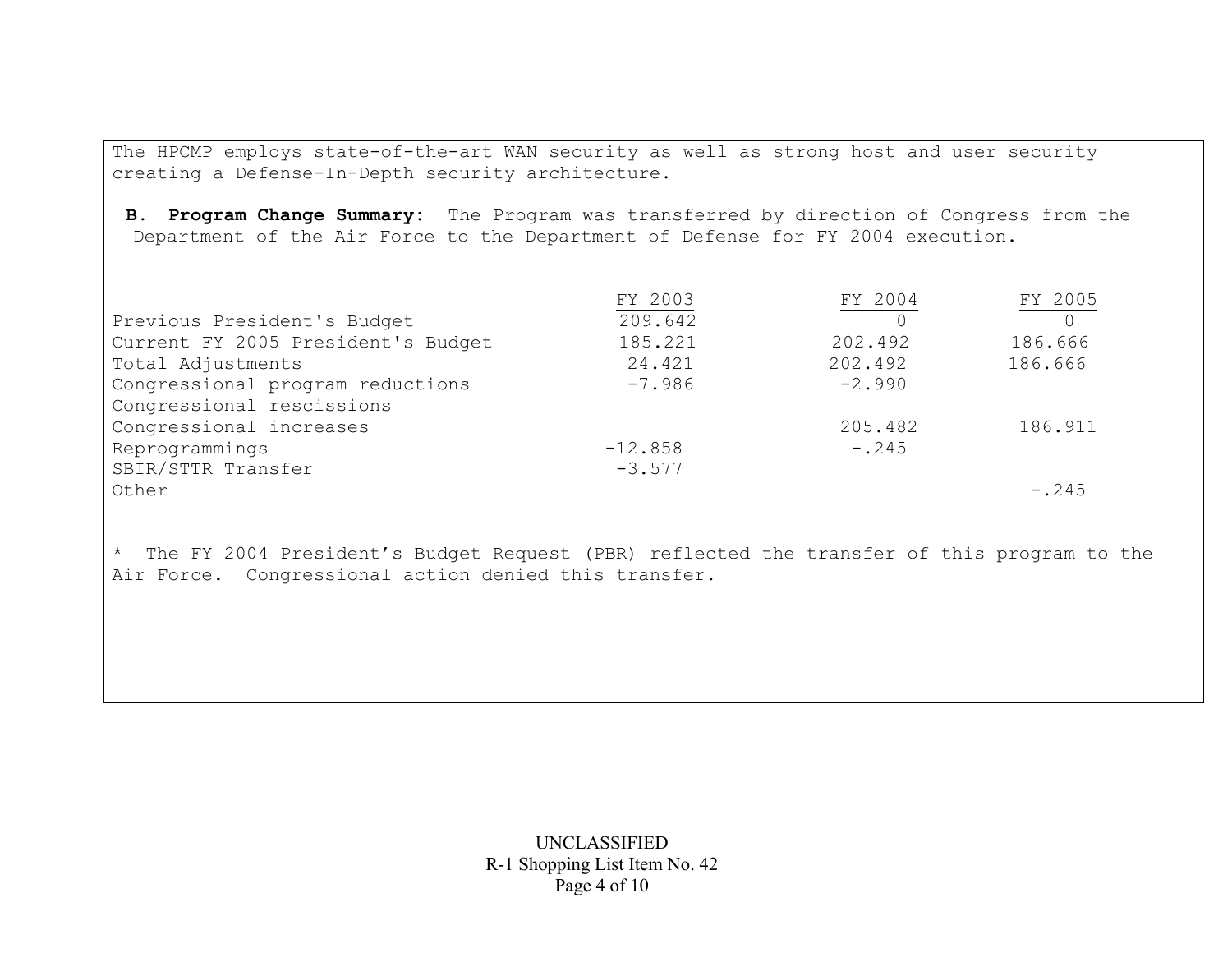The HPCMP employs state-of-the-art WAN security as well as strong host and user security creating a Defense-In-Depth security architecture.

**B. Program Change Summary:** The Program was transferred by direction of Congress from the Department of the Air Force to the Department of Defense for FY 2004 execution.

|                                    | FY 2003   | FY 2004  | FY 2005 |
|------------------------------------|-----------|----------|---------|
| Previous President's Budget        | 209.642   |          |         |
| Current FY 2005 President's Budget | 185.221   | 202.492  | 186.666 |
| Total Adjustments                  | 24.421    | 202.492  | 186.666 |
| Congressional program reductions   | $-7.986$  | $-2.990$ |         |
| Congressional rescissions          |           |          |         |
| Congressional increases            |           | 205.482  | 186.911 |
| Reprogrammings                     | $-12.858$ | $-.245$  |         |
| SBIR/STTR Transfer                 | $-3.577$  |          |         |
| Other                              |           |          | $-.245$ |

\* The FY 2004 President's Budget Request (PBR) reflected the transfer of this program to the Air Force. Congressional action denied this transfer.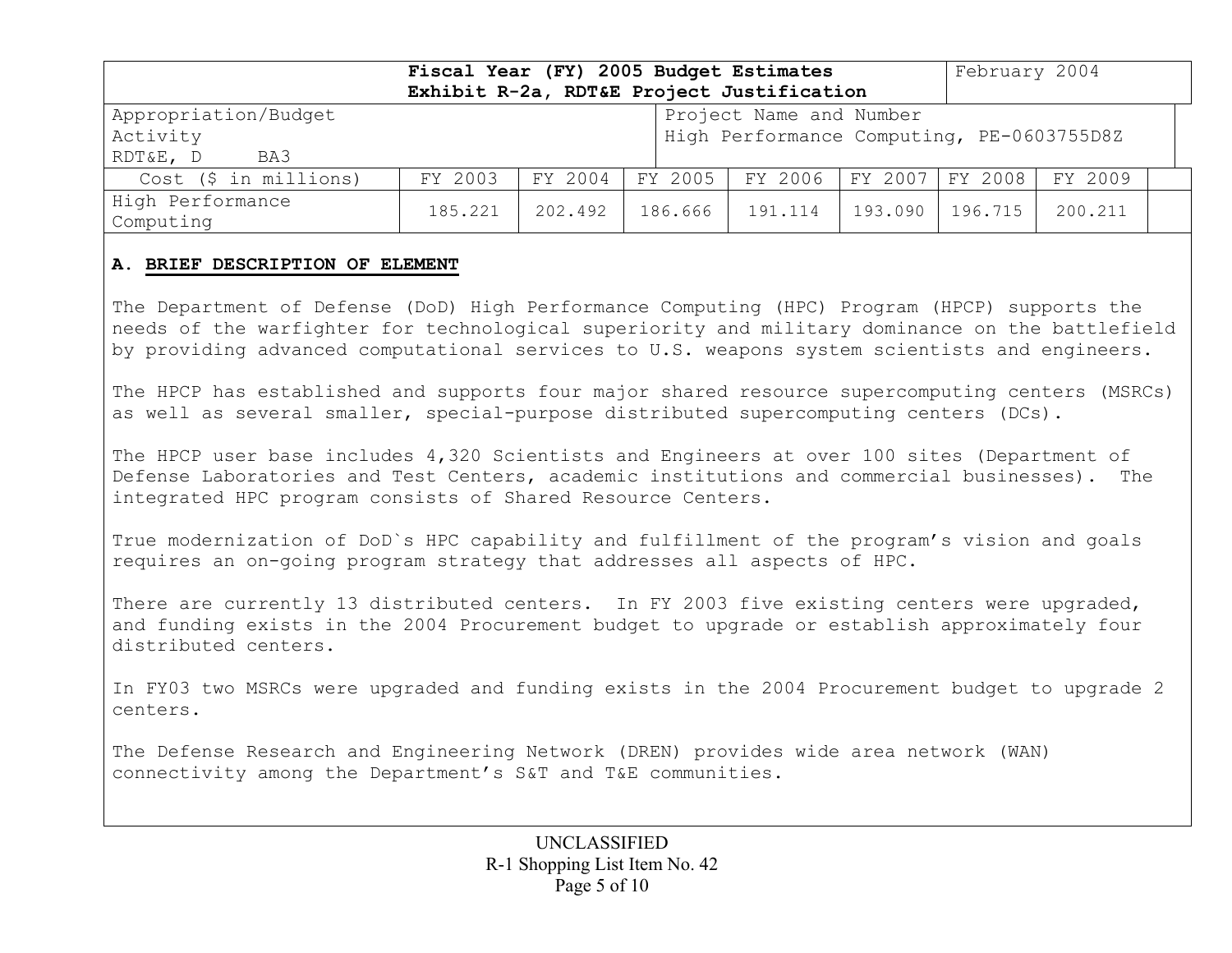| Fiscal Year (FY) 2005 Budget Estimates<br>February 2004<br>Exhibit R-2a, RDT&E Project Justification |         |                                                                      |         |         |         |         |         |  |
|------------------------------------------------------------------------------------------------------|---------|----------------------------------------------------------------------|---------|---------|---------|---------|---------|--|
| Appropriation/Budget<br>Activity<br>BA3<br>RDT&E, D                                                  |         | Project Name and Number<br>High Performance Computing, PE-0603755D8Z |         |         |         |         |         |  |
| Cost (\$ in millions)                                                                                | FY 2003 | FY 2004                                                              | FY 2005 | FY 2006 | FY 2007 | FY 2008 | FY 2009 |  |
| High Performance<br>Computing                                                                        | 185.221 | 202.492                                                              | 186.666 | 191.114 | 193.090 | 196.715 | 200.211 |  |

#### **A. BRIEF DESCRIPTION OF ELEMENT**

The Department of Defense (DoD) High Performance Computing (HPC) Program (HPCP) supports the needs of the warfighter for technological superiority and military dominance on the battlefield by providing advanced computational services to U.S. weapons system scientists and engineers.

The HPCP has established and supports four major shared resource supercomputing centers (MSRCs) as well as several smaller, special-purpose distributed supercomputing centers (DCs).

The HPCP user base includes 4,320 Scientists and Engineers at over 100 sites (Department of Defense Laboratories and Test Centers, academic institutions and commercial businesses). The integrated HPC program consists of Shared Resource Centers.

True modernization of DoD`s HPC capability and fulfillment of the program's vision and goals requires an on-going program strategy that addresses all aspects of HPC.

There are currently 13 distributed centers. In FY 2003 five existing centers were upgraded, and funding exists in the 2004 Procurement budget to upgrade or establish approximately four distributed centers.

In FY03 two MSRCs were upgraded and funding exists in the 2004 Procurement budget to upgrade 2 centers.

The Defense Research and Engineering Network (DREN) provides wide area network (WAN) connectivity among the Department's S&T and T&E communities.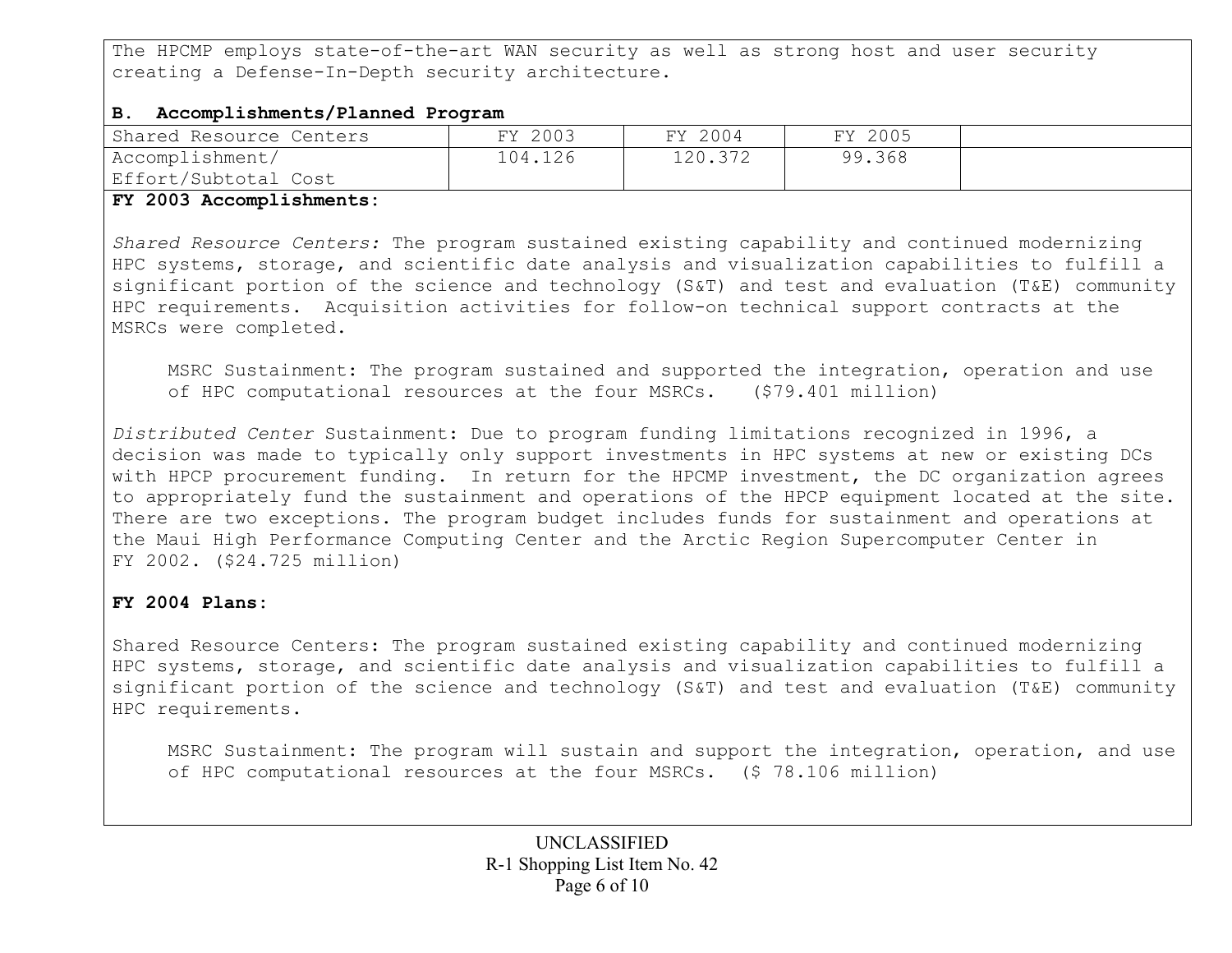The HPCMP employs state-of-the-art WAN security as well as strong host and user security creating a Defense-In-Depth security architecture.

## **B. Accomplishments/Planned Program**

| Shared Resource Centers | FY 2003 | FY 2004 | FY 2005 |  |
|-------------------------|---------|---------|---------|--|
| Accomplishment/         | 104.126 | 120.372 | 99.368  |  |
| Effort/Subtotal Cost    |         |         |         |  |

### **FY 2003 Accomplishments:**

*Shared Resource Centers:* The program sustained existing capability and continued modernizing HPC systems, storage, and scientific date analysis and visualization capabilities to fulfill a significant portion of the science and technology (S&T) and test and evaluation (T&E) community HPC requirements. Acquisition activities for follow-on technical support contracts at the MSRCs were completed.

MSRC Sustainment: The program sustained and supported the integration, operation and use of HPC computational resources at the four MSRCs. (\$79.401 million)

*Distributed Center* Sustainment: Due to program funding limitations recognized in 1996, a decision was made to typically only support investments in HPC systems at new or existing DCs with HPCP procurement funding. In return for the HPCMP investment, the DC organization agrees to appropriately fund the sustainment and operations of the HPCP equipment located at the site. There are two exceptions. The program budget includes funds for sustainment and operations at the Maui High Performance Computing Center and the Arctic Region Supercomputer Center in FY 2002. (\$24.725 million)

## **FY 2004 Plans:**

Shared Resource Centers: The program sustained existing capability and continued modernizing HPC systems, storage, and scientific date analysis and visualization capabilities to fulfill a significant portion of the science and technology (S&T) and test and evaluation (T&E) community HPC requirements.

MSRC Sustainment: The program will sustain and support the integration, operation, and use of HPC computational resources at the four MSRCs. (\$ 78.106 million)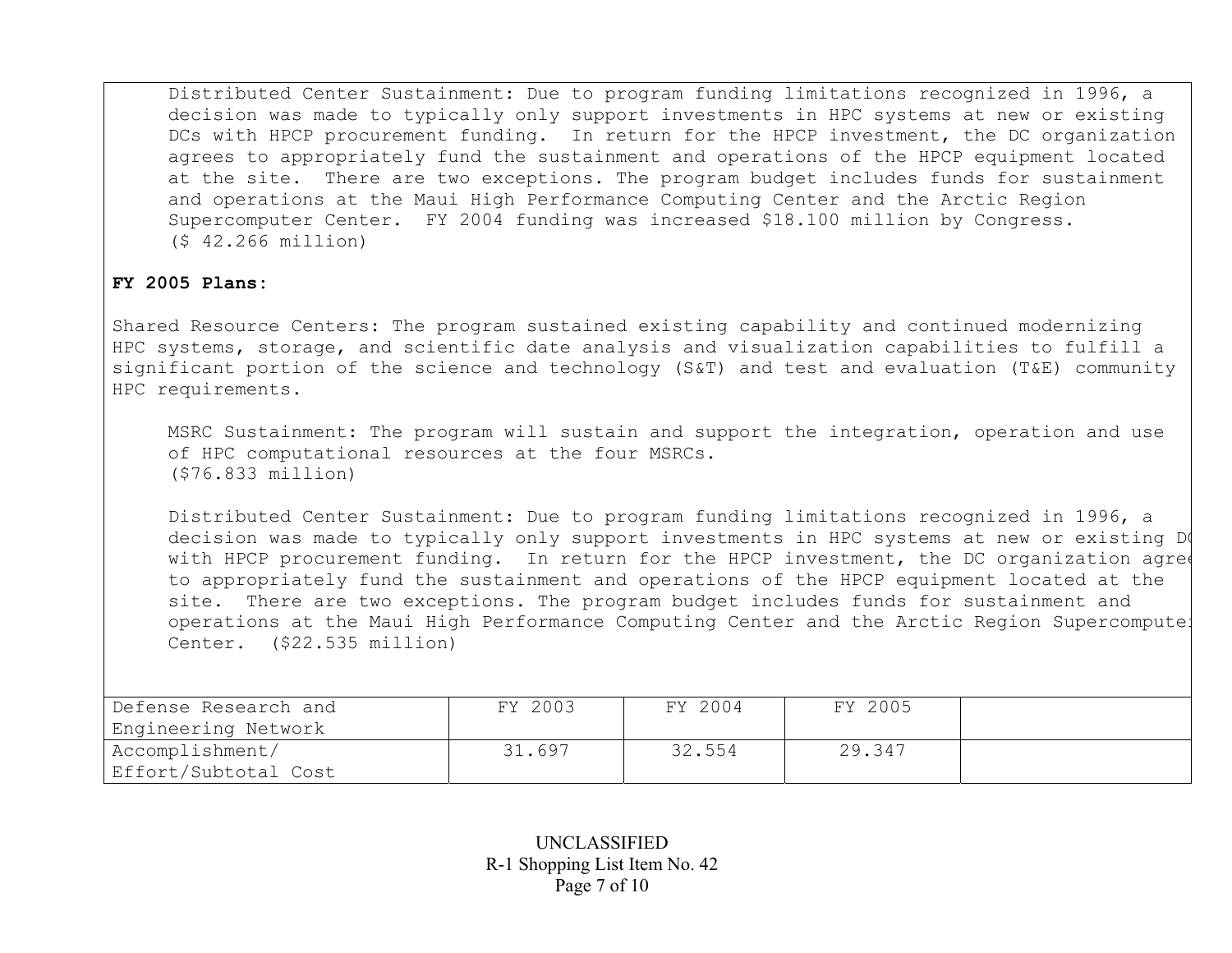Distributed Center Sustainment: Due to program funding limitations recognized in 1996, a decision was made to typically only support investments in HPC systems at new or existing DCs with HPCP procurement funding. In return for the HPCP investment, the DC organization agrees to appropriately fund the sustainment and operations of the HPCP equipment located at the site. There are two exceptions. The program budget includes funds for sustainment and operations at the Maui High Performance Computing Center and the Arctic Region Supercomputer Center. FY 2004 funding was increased \$18.100 million by Congress. (\$ 42.266 million)

### **FY 2005 Plans:**

Shared Resource Centers: The program sustained existing capability and continued modernizing HPC systems, storage, and scientific date analysis and visualization capabilities to fulfill a significant portion of the science and technology (S&T) and test and evaluation (T&E) community HPC requirements.

MSRC Sustainment: The program will sustain and support the integration, operation and use of HPC computational resources at the four MSRCs. (\$76.833 million)

Distributed Center Sustainment: Due to program funding limitations recognized in 1996, a decision was made to typically only support investments in HPC systems at new or existing D with HPCP procurement funding. In return for the HPCP investment, the DC organization agree to appropriately fund the sustainment and operations of the HPCP equipment located at the site. There are two exceptions. The program budget includes funds for sustainment and operations at the Maui High Performance Computing Center and the Arctic Region Supercomputer Center. (\$22.535 million)

| Defense Research and<br>Engineering Network | FY 2003 | FY 2004 | FY 2005 |  |
|---------------------------------------------|---------|---------|---------|--|
| Accomplishment/<br>Effort/Subtotal Cost     | 31.697  | 32.554  | 29.347  |  |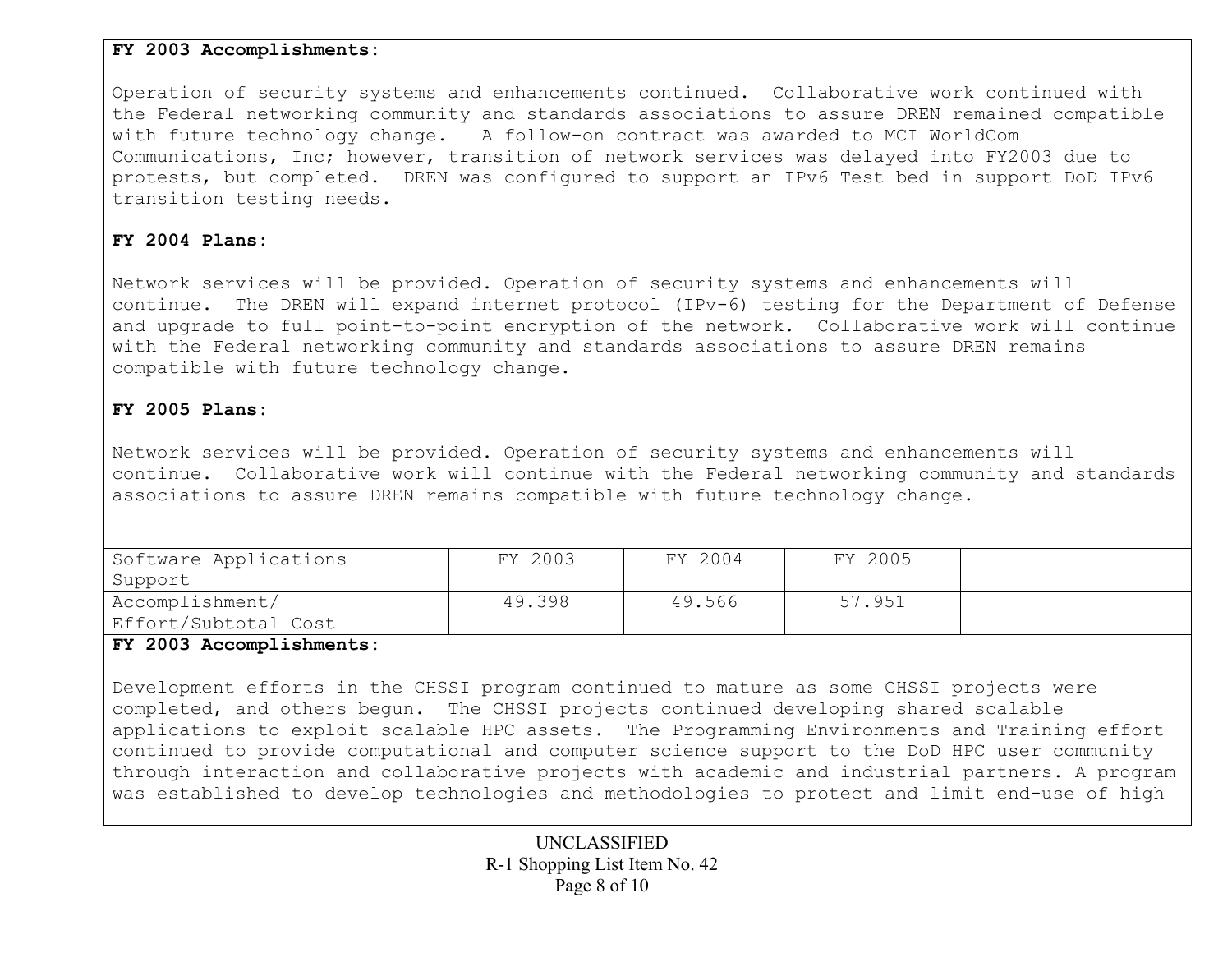## **FY 2003 Accomplishments:**

Operation of security systems and enhancements continued. Collaborative work continued with the Federal networking community and standards associations to assure DREN remained compatible with future technology change. A follow-on contract was awarded to MCI WorldCom Communications, Inc; however, transition of network services was delayed into FY2003 due to protests, but completed. DREN was configured to support an IPv6 Test bed in support DoD IPv6 transition testing needs.

# **FY 2004 Plans:**

Network services will be provided. Operation of security systems and enhancements will continue. The DREN will expand internet protocol (IPv-6) testing for the Department of Defense and upgrade to full point-to-point encryption of the network. Collaborative work will continue with the Federal networking community and standards associations to assure DREN remains compatible with future technology change.

## **FY 2005 Plans:**

Network services will be provided. Operation of security systems and enhancements will continue. Collaborative work will continue with the Federal networking community and standards associations to assure DREN remains compatible with future technology change.

| Software Applications | FY 2003 | FY 2004 | FY 2005 |  |
|-----------------------|---------|---------|---------|--|
| Support               |         |         |         |  |
| Accomplishment/       | 49.398  | 49.566  | 57.951  |  |
| Effort/Subtotal Cost  |         |         |         |  |

## **FY 2003 Accomplishments:**

Development efforts in the CHSSI program continued to mature as some CHSSI projects were completed, and others begun. The CHSSI projects continued developing shared scalable applications to exploit scalable HPC assets. The Programming Environments and Training effort continued to provide computational and computer science support to the DoD HPC user community through interaction and collaborative projects with academic and industrial partners. A program was established to develop technologies and methodologies to protect and limit end-use of high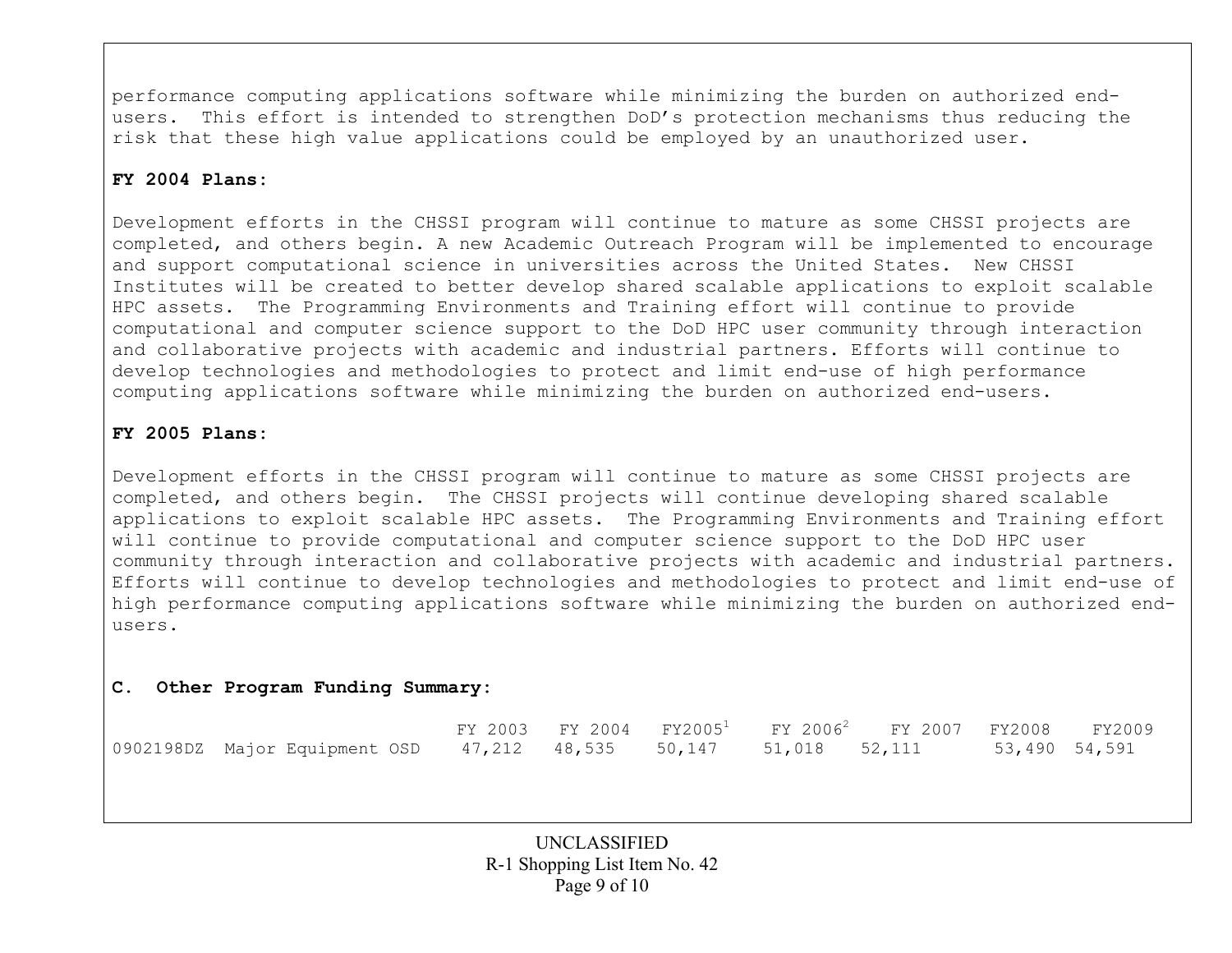performance computing applications software while minimizing the burden on authorized endusers. This effort is intended to strengthen DoD's protection mechanisms thus reducing the risk that these high value applications could be employed by an unauthorized user.

# **FY 2004 Plans:**

Development efforts in the CHSSI program will continue to mature as some CHSSI projects are completed, and others begin. A new Academic Outreach Program will be implemented to encourage and support computational science in universities across the United States. New CHSSI Institutes will be created to better develop shared scalable applications to exploit scalable HPC assets. The Programming Environments and Training effort will continue to provide computational and computer science support to the DoD HPC user community through interaction and collaborative projects with academic and industrial partners. Efforts will continue to develop technologies and methodologies to protect and limit end-use of high performance computing applications software while minimizing the burden on authorized end-users.

# **FY 2005 Plans:**

Development efforts in the CHSSI program will continue to mature as some CHSSI projects are completed, and others begin. The CHSSI projects will continue developing shared scalable applications to exploit scalable HPC assets. The Programming Environments and Training effort will continue to provide computational and computer science support to the DoD HPC user community through interaction and collaborative projects with academic and industrial partners. Efforts will continue to develop technologies and methodologies to protect and limit end-use of high performance computing applications software while minimizing the burden on authorized endusers.

## **C. Other Program Funding Summary:**

|                                                                  |  |  | FY 2003 FY 2004 FY2005 <sup>1</sup> FY 2006 <sup>2</sup> FY 2007 FY2008 FY2009 |               |  |
|------------------------------------------------------------------|--|--|--------------------------------------------------------------------------------|---------------|--|
| 0902198DZ Major Equipment OSD 47,212 48,535 50,147 51,018 52,111 |  |  |                                                                                | 53,490 54,591 |  |